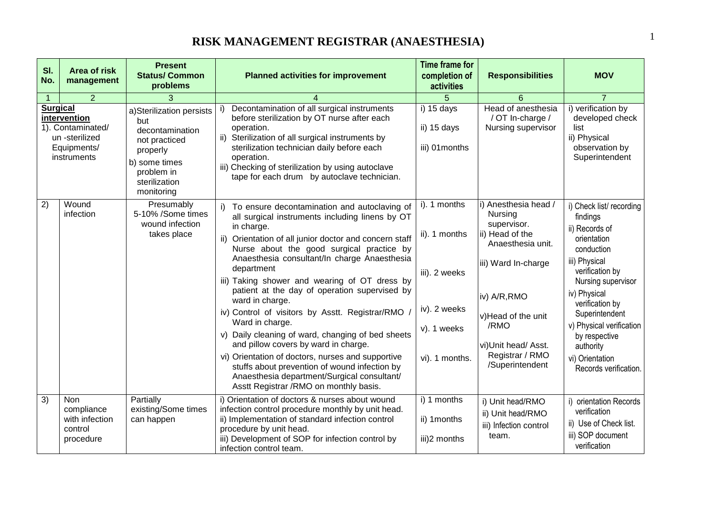#### **RISK MANAGEMENT REGISTRAR (ANAESTHESIA)** <sup>1</sup>

| SI.<br>No.                                                                                           | <b>Area of risk</b><br>management                                  | <b>Present</b><br><b>Status/ Common</b><br>problems                                                                                           | <b>Planned activities for improvement</b>                                                                                                                                                                                                                                                                                                                                                                                                                                                                                                                                                                                                                                                                                                                                   | <b>Time frame for</b><br>completion of<br>activities                                            | <b>Responsibilities</b>                                                                                                                                                                                                  | <b>MOV</b>                                                                                                                                                                                                                                                                                              |
|------------------------------------------------------------------------------------------------------|--------------------------------------------------------------------|-----------------------------------------------------------------------------------------------------------------------------------------------|-----------------------------------------------------------------------------------------------------------------------------------------------------------------------------------------------------------------------------------------------------------------------------------------------------------------------------------------------------------------------------------------------------------------------------------------------------------------------------------------------------------------------------------------------------------------------------------------------------------------------------------------------------------------------------------------------------------------------------------------------------------------------------|-------------------------------------------------------------------------------------------------|--------------------------------------------------------------------------------------------------------------------------------------------------------------------------------------------------------------------------|---------------------------------------------------------------------------------------------------------------------------------------------------------------------------------------------------------------------------------------------------------------------------------------------------------|
| $\mathbf{1}$                                                                                         | $\overline{2}$                                                     | 3                                                                                                                                             |                                                                                                                                                                                                                                                                                                                                                                                                                                                                                                                                                                                                                                                                                                                                                                             | 5                                                                                               | 6                                                                                                                                                                                                                        |                                                                                                                                                                                                                                                                                                         |
| <b>Surgical</b><br>intervention<br>1). Contaminated/<br>un -sterilized<br>Equipments/<br>instruments |                                                                    | a)Sterilization persists<br>but<br>decontamination<br>not practiced<br>properly<br>b) some times<br>problem in<br>sterilization<br>monitoring | Decontamination of all surgical instruments<br>before sterilization by OT nurse after each<br>operation.<br>ii)<br>Sterilization of all surgical instruments by<br>sterilization technician daily before each<br>operation.<br>iii) Checking of sterilization by using autoclave<br>tape for each drum by autoclave technician.                                                                                                                                                                                                                                                                                                                                                                                                                                             | i) 15 days<br>ii) 15 days<br>iii) 01 months                                                     | Head of anesthesia<br>/ OT In-charge /<br>Nursing supervisor                                                                                                                                                             | i) verification by<br>developed check<br>list<br>ii) Physical<br>observation by<br>Superintendent                                                                                                                                                                                                       |
| 2)                                                                                                   | Wound<br>infection                                                 | Presumably<br>5-10% /Some times<br>wound infection<br>takes place                                                                             | To ensure decontamination and autoclaving of<br>all surgical instruments including linens by OT<br>in charge.<br>ii) Orientation of all junior doctor and concern staff<br>Nurse about the good surgical practice by<br>Anaesthesia consultant/In charge Anaesthesia<br>department<br>iii) Taking shower and wearing of OT dress by<br>patient at the day of operation supervised by<br>ward in charge.<br>iv) Control of visitors by Asstt. Registrar/RMO /<br>Ward in charge.<br>v) Daily cleaning of ward, changing of bed sheets<br>and pillow covers by ward in charge.<br>vi) Orientation of doctors, nurses and supportive<br>stuffs about prevention of wound infection by<br>Anaesthesia department/Surgical consultant/<br>Asstt Registrar /RMO on monthly basis. | i). 1 months<br>ii). 1 months<br>iii). 2 weeks<br>iv). 2 weeks<br>v). 1 weeks<br>vi). 1 months. | i) Anesthesia head /<br>Nursing<br>supervisor.<br>ii) Head of the<br>Anaesthesia unit.<br>iii) Ward In-charge<br>iv) A/R, RMO<br>v)Head of the unit<br>/RMO<br>vi)Unit head/ Asst.<br>Registrar / RMO<br>/Superintendent | i) Check list/recording<br>findings<br>ii) Records of<br>orientation<br>conduction<br>iii) Physical<br>verification by<br>Nursing supervisor<br>iv) Physical<br>verification by<br>Superintendent<br>v) Physical verification<br>by respective<br>authority<br>vi) Orientation<br>Records verification. |
| $\overline{3)}$                                                                                      | <b>Non</b><br>compliance<br>with infection<br>control<br>procedure | Partially<br>existing/Some times<br>can happen                                                                                                | i) Orientation of doctors & nurses about wound<br>infection control procedure monthly by unit head.<br>ii) Implementation of standard infection control<br>procedure by unit head.<br>iii) Development of SOP for infection control by<br>infection control team.                                                                                                                                                                                                                                                                                                                                                                                                                                                                                                           | i) 1 months<br>ii) 1 months<br>iii)2 months                                                     | i) Unit head/RMO<br>ii) Unit head/RMO<br>iii) Infection control<br>team.                                                                                                                                                 | i) orientation Records<br>verification<br>ii) Use of Check list.<br>iii) SOP document<br>verification                                                                                                                                                                                                   |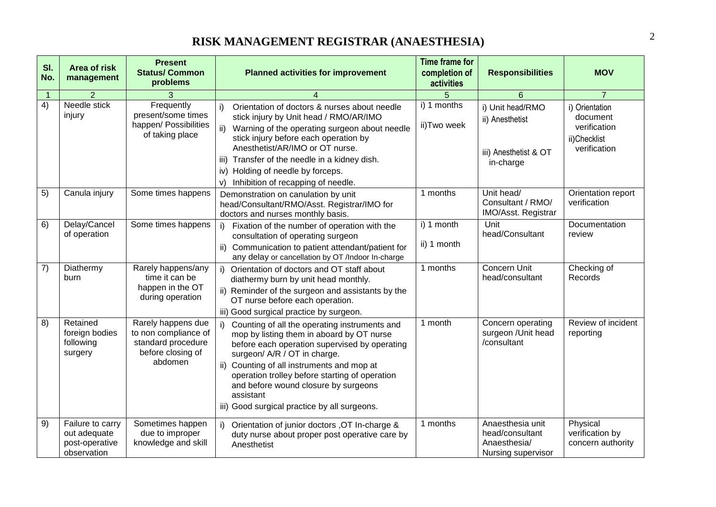#### **RISK MANAGEMENT REGISTRAR (ANAESTHESIA)** <sup>2</sup>

| SI.<br>No.     | <b>Area of risk</b><br>management                                 | <b>Present</b><br><b>Status/ Common</b><br>problems                                              | <b>Planned activities for improvement</b>                                                                                                                                                                                                                                                                                                                                              | <b>Time frame for</b><br>completion of<br>activities | <b>Responsibilities</b>                                                   | <b>MOV</b>                                                                 |
|----------------|-------------------------------------------------------------------|--------------------------------------------------------------------------------------------------|----------------------------------------------------------------------------------------------------------------------------------------------------------------------------------------------------------------------------------------------------------------------------------------------------------------------------------------------------------------------------------------|------------------------------------------------------|---------------------------------------------------------------------------|----------------------------------------------------------------------------|
| $\overline{1}$ | $\overline{2}$                                                    | 3                                                                                                |                                                                                                                                                                                                                                                                                                                                                                                        | 5                                                    | 6                                                                         | $\overline{7}$                                                             |
| 4)             | Needle stick<br>injury                                            | Frequently<br>present/some times<br>happen/ Possibilities<br>of taking place                     | Orientation of doctors & nurses about needle<br>i)<br>stick injury by Unit head / RMO/AR/IMO<br>$\mathsf{ii}$<br>Warning of the operating surgeon about needle<br>stick injury before each operation by<br>Anesthetist/AR/IMO or OT nurse.<br>iii)<br>Transfer of the needle in a kidney dish.<br>iv) Holding of needle by forceps.<br>Inhibition of recapping of needle.<br>V)        | i) 1 months<br>ii)Two week                           | i) Unit head/RMO<br>ii) Anesthetist<br>iii) Anesthetist & OT<br>in-charge | i) Orientation<br>document<br>verification<br>ii)Checklist<br>verification |
| 5)             | Canula injury                                                     | Some times happens                                                                               | Demonstration on canulation by unit<br>head/Consultant/RMO/Asst. Registrar/IMO for<br>doctors and nurses monthly basis.                                                                                                                                                                                                                                                                | 1 months                                             | Unit head/<br>Consultant / RMO/<br>IMO/Asst. Registrar                    | Orientation report<br>verification                                         |
| 6)             | Delay/Cancel<br>of operation                                      | Some times happens                                                                               | Fixation of the number of operation with the<br>i)<br>consultation of operating surgeon<br>ii) Communication to patient attendant/patient for<br>any delay or cancellation by OT /Indoor In-charge                                                                                                                                                                                     | i) 1 month<br>ii) 1 month                            | Unit<br>head/Consultant                                                   | Documentation<br>review                                                    |
| $\overline{7}$ | Diathermy<br>burn                                                 | Rarely happens/any<br>time it can be<br>happen in the OT<br>during operation                     | i)<br>Orientation of doctors and OT staff about<br>diathermy burn by unit head monthly.<br>ii) Reminder of the surgeon and assistants by the<br>OT nurse before each operation.<br>iii) Good surgical practice by surgeon.                                                                                                                                                             | 1 months                                             | <b>Concern Unit</b><br>head/consultant                                    | Checking of<br>Records                                                     |
| 8)             | Retained<br>foreign bodies<br>following<br>surgery                | Rarely happens due<br>to non compliance of<br>standard procedure<br>before closing of<br>abdomen | i)<br>Counting of all the operating instruments and<br>mop by listing them in aboard by OT nurse<br>before each operation supervised by operating<br>surgeon/ A/R / OT in charge.<br>ii) Counting of all instruments and mop at<br>operation trolley before starting of operation<br>and before wound closure by surgeons<br>assistant<br>iii) Good surgical practice by all surgeons. | 1 month                                              | Concern operating<br>surgeon / Unit head<br>/consultant                   | Review of incident<br>reporting                                            |
| 9)             | Failure to carry<br>out adequate<br>post-operative<br>observation | Sometimes happen<br>due to improper<br>knowledge and skill                                       | i)<br>Orientation of junior doctors , OT In-charge &<br>duty nurse about proper post operative care by<br>Anesthetist                                                                                                                                                                                                                                                                  | 1 months                                             | Anaesthesia unit<br>head/consultant<br>Anaesthesia/<br>Nursing supervisor | Physical<br>verification by<br>concern authority                           |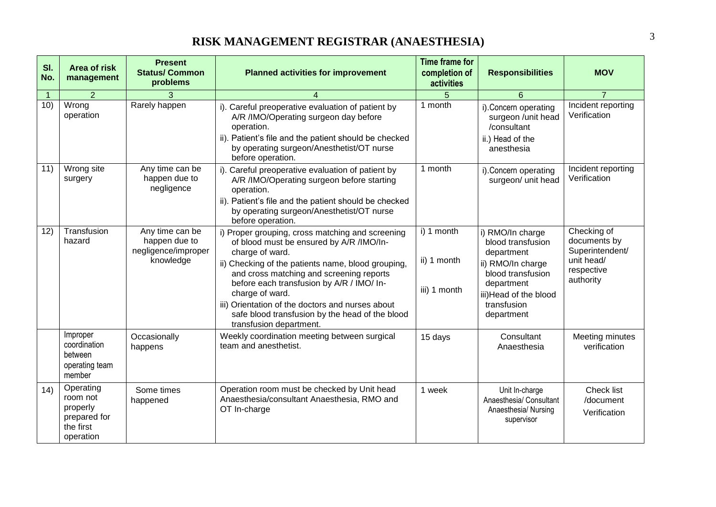#### **RISK MANAGEMENT REGISTRAR (ANAESTHESIA)** <sup>3</sup>

| SI.<br>No.     | <b>Area of risk</b><br>management                                           | <b>Present</b><br><b>Status/Common</b><br>problems                   | <b>Planned activities for improvement</b>                                                                                                                                                                                                                                                                                                                                                                           | <b>Time frame for</b><br>completion of<br>activities | <b>Responsibilities</b>                                                                                                                                           | <b>MOV</b>                                                                              |
|----------------|-----------------------------------------------------------------------------|----------------------------------------------------------------------|---------------------------------------------------------------------------------------------------------------------------------------------------------------------------------------------------------------------------------------------------------------------------------------------------------------------------------------------------------------------------------------------------------------------|------------------------------------------------------|-------------------------------------------------------------------------------------------------------------------------------------------------------------------|-----------------------------------------------------------------------------------------|
| $\overline{1}$ | 2                                                                           |                                                                      | 4                                                                                                                                                                                                                                                                                                                                                                                                                   |                                                      | 6                                                                                                                                                                 | $\overline{7}$                                                                          |
| 10)            | Wrong<br>operation                                                          | Rarely happen                                                        | i). Careful preoperative evaluation of patient by<br>A/R /IMO/Operating surgeon day before<br>operation.<br>ii). Patient's file and the patient should be checked<br>by operating surgeon/Anesthetist/OT nurse<br>before operation.                                                                                                                                                                                 | 1 month                                              | i).Concern operating<br>surgeon /unit head<br>/consultant<br>ii.) Head of the<br>anesthesia                                                                       | Incident reporting<br>Verification                                                      |
| 11)            | Wrong site<br>surgery                                                       | Any time can be<br>happen due to<br>negligence                       | i). Careful preoperative evaluation of patient by<br>A/R /IMO/Operating surgeon before starting<br>operation.<br>ii). Patient's file and the patient should be checked<br>by operating surgeon/Anesthetist/OT nurse<br>before operation.                                                                                                                                                                            | 1 month                                              | i).Concern operating<br>surgeon/ unit head                                                                                                                        | Incident reporting<br>Verification                                                      |
| 12)            | Transfusion<br>hazard                                                       | Any time can be<br>happen due to<br>negligence/improper<br>knowledge | i) Proper grouping, cross matching and screening<br>of blood must be ensured by A/R /IMO/In-<br>charge of ward.<br>ii) Checking of the patients name, blood grouping,<br>and cross matching and screening reports<br>before each transfusion by A/R / IMO/ In-<br>charge of ward.<br>iii) Orientation of the doctors and nurses about<br>safe blood transfusion by the head of the blood<br>transfusion department. | i) 1 month<br>ii) 1 month<br>iii) 1 month            | i) RMO/In charge<br>blood transfusion<br>department<br>ii) RMO/In charge<br>blood transfusion<br>department<br>iii)Head of the blood<br>transfusion<br>department | Checking of<br>documents by<br>Superintendent/<br>unit head/<br>respective<br>authority |
|                | Improper<br>coordination<br>between<br>operating team<br>member             | Occasionally<br>happens                                              | Weekly coordination meeting between surgical<br>team and anesthetist.                                                                                                                                                                                                                                                                                                                                               | 15 days                                              | Consultant<br>Anaesthesia                                                                                                                                         | Meeting minutes<br>verification                                                         |
| (14)           | Operating<br>room not<br>properly<br>prepared for<br>the first<br>operation | Some times<br>happened                                               | Operation room must be checked by Unit head<br>Anaesthesia/consultant Anaesthesia, RMO and<br>OT In-charge                                                                                                                                                                                                                                                                                                          | 1 week                                               | Unit In-charge<br>Anaesthesia/ Consultant<br>Anaesthesia/ Nursing<br>supervisor                                                                                   | Check list<br>/document<br>Verification                                                 |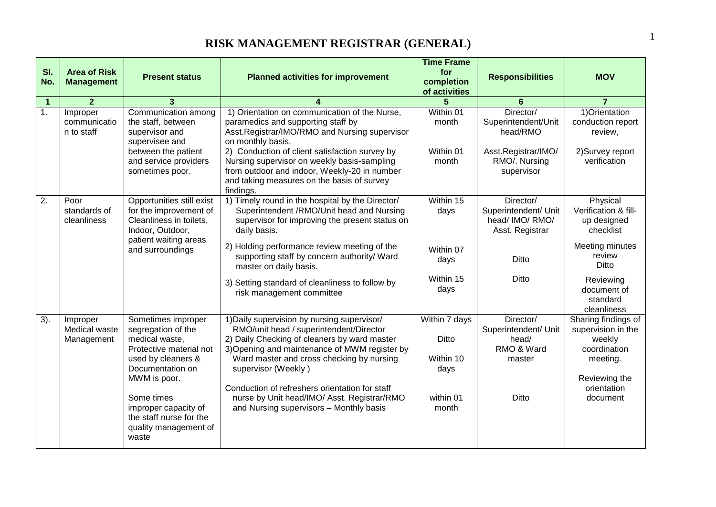| SI.<br>No.     | <b>Area of Risk</b><br><b>Management</b> | <b>Present status</b>                                                                                                                                                                                                                              | <b>Planned activities for improvement</b>                                                                                                                                                                                                                                                                                                                                                               | <b>Time Frame</b><br>for<br>completion<br>of activities                  | <b>Responsibilities</b>                                                                            | <b>MOV</b>                                                                                                                  |
|----------------|------------------------------------------|----------------------------------------------------------------------------------------------------------------------------------------------------------------------------------------------------------------------------------------------------|---------------------------------------------------------------------------------------------------------------------------------------------------------------------------------------------------------------------------------------------------------------------------------------------------------------------------------------------------------------------------------------------------------|--------------------------------------------------------------------------|----------------------------------------------------------------------------------------------------|-----------------------------------------------------------------------------------------------------------------------------|
| $\overline{1}$ | $\overline{2}$                           | 3                                                                                                                                                                                                                                                  |                                                                                                                                                                                                                                                                                                                                                                                                         | 5                                                                        | $6\phantom{1}6$                                                                                    | $\overline{7}$                                                                                                              |
| $\mathbf{1}$ . | Improper<br>communicatio<br>n to staff   | Communication among<br>the staff, between<br>supervisor and<br>supervisee and<br>between the patient<br>and service providers<br>sometimes poor.                                                                                                   | 1) Orientation on communication of the Nurse,<br>paramedics and supporting staff by<br>Asst.Registrar/IMO/RMO and Nursing supervisor<br>on monthly basis.<br>2) Conduction of client satisfaction survey by<br>Nursing supervisor on weekly basis-sampling<br>from outdoor and indoor, Weekly-20 in number                                                                                              | Within 01<br>month<br>Within 01<br>month                                 | Director/<br>Superintendent/Unit<br>head/RMO<br>Asst.Registrar/IMO/<br>RMO/. Nursing<br>supervisor | 1) Orientation<br>conduction report<br>review,<br>2) Survey report<br>verification                                          |
|                |                                          |                                                                                                                                                                                                                                                    | and taking measures on the basis of survey<br>findings.                                                                                                                                                                                                                                                                                                                                                 |                                                                          |                                                                                                    |                                                                                                                             |
| 2.             | Poor<br>standards of<br>cleanliness      | Opportunities still exist<br>for the improvement of<br>Cleanliness in toilets.<br>Indoor, Outdoor,<br>patient waiting areas                                                                                                                        | 1) Timely round in the hospital by the Director/<br>Superintendent /RMO/Unit head and Nursing<br>supervisor for improving the present status on<br>daily basis.                                                                                                                                                                                                                                         | Within 15<br>days                                                        | Director/<br>Superintendent/ Unit<br>head/ IMO/ RMO/<br>Asst. Registrar                            | Physical<br>Verification & fill-<br>up designed<br>checklist                                                                |
|                |                                          | and surroundings                                                                                                                                                                                                                                   | 2) Holding performance review meeting of the<br>supporting staff by concern authority/ Ward<br>master on daily basis.                                                                                                                                                                                                                                                                                   | Within 07<br>days                                                        | Ditto                                                                                              | Meeting minutes<br>review<br>Ditto                                                                                          |
|                |                                          |                                                                                                                                                                                                                                                    | 3) Setting standard of cleanliness to follow by<br>risk management committee                                                                                                                                                                                                                                                                                                                            | Within 15<br>days                                                        | Ditto                                                                                              | Reviewing<br>document of<br>standard<br>cleanliness                                                                         |
| 3).            | Improper<br>Medical waste<br>Management  | Sometimes improper<br>segregation of the<br>medical waste,<br>Protective material not<br>used by cleaners &<br>Documentation on<br>MWM is poor.<br>Some times<br>improper capacity of<br>the staff nurse for the<br>quality management of<br>waste | 1) Daily supervision by nursing supervisor/<br>RMO/unit head / superintendent/Director<br>2) Daily Checking of cleaners by ward master<br>3) Opening and maintenance of MWM register by<br>Ward master and cross checking by nursing<br>supervisor (Weekly)<br>Conduction of refreshers orientation for staff<br>nurse by Unit head/IMO/ Asst. Registrar/RMO<br>and Nursing supervisors - Monthly basis | Within 7 days<br><b>Ditto</b><br>Within 10<br>days<br>within 01<br>month | Director/<br>Superintendent/ Unit<br>head/<br>RMO & Ward<br>master<br>Ditto                        | Sharing findings of<br>supervision in the<br>weekly<br>coordination<br>meeting.<br>Reviewing the<br>orientation<br>document |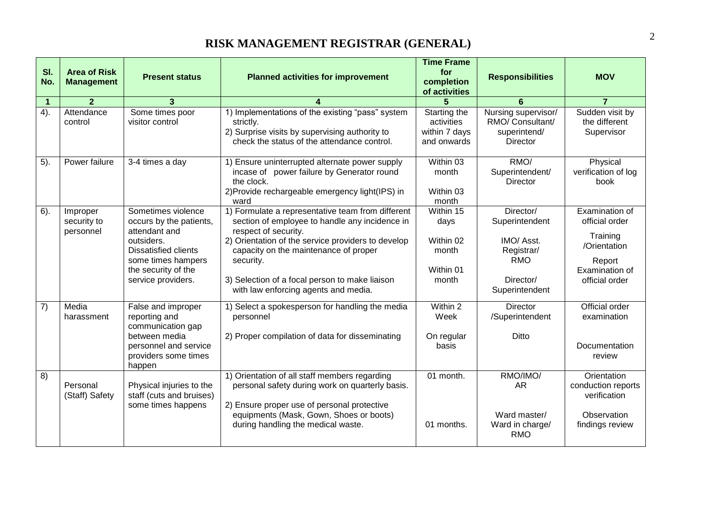| SI.<br>No.     | <b>Area of Risk</b><br><b>Management</b> | <b>Present status</b>                                                                                                                                                          | <b>Planned activities for improvement</b>                                                                                                                                                                                                                                                                                         | <b>Time Frame</b><br>for<br>completion                        | <b>Responsibilities</b>                                                                              | <b>MOV</b>                                                                                                 |
|----------------|------------------------------------------|--------------------------------------------------------------------------------------------------------------------------------------------------------------------------------|-----------------------------------------------------------------------------------------------------------------------------------------------------------------------------------------------------------------------------------------------------------------------------------------------------------------------------------|---------------------------------------------------------------|------------------------------------------------------------------------------------------------------|------------------------------------------------------------------------------------------------------------|
|                |                                          |                                                                                                                                                                                |                                                                                                                                                                                                                                                                                                                                   | of activities                                                 |                                                                                                      |                                                                                                            |
| $\overline{1}$ | $\overline{2}$                           | 3                                                                                                                                                                              |                                                                                                                                                                                                                                                                                                                                   | 5                                                             | 6                                                                                                    | $\overline{7}$                                                                                             |
| 4).            | Attendance<br>control                    | Some times poor<br>visitor control                                                                                                                                             | 1) Implementations of the existing "pass" system<br>strictly.<br>2) Surprise visits by supervising authority to<br>check the status of the attendance control.                                                                                                                                                                    | Starting the<br>activities<br>within 7 days<br>and onwards    | Nursing supervisor/<br>RMO/ Consultant/<br>superintend/<br>Director                                  | Sudden visit by<br>the different<br>Supervisor                                                             |
| 5).            | Power failure                            | 3-4 times a day                                                                                                                                                                | 1) Ensure uninterrupted alternate power supply<br>incase of power failure by Generator round<br>the clock.<br>2) Provide rechargeable emergency light (IPS) in<br>ward                                                                                                                                                            | Within 03<br>month<br>Within 03<br>month                      | RMO/<br>Superintendent/<br><b>Director</b>                                                           | Physical<br>verification of log<br>book                                                                    |
| $6$ ).         | Improper<br>security to<br>personnel     | Sometimes violence<br>occurs by the patients,<br>attendant and<br>outsiders.<br><b>Dissatisfied clients</b><br>some times hampers<br>the security of the<br>service providers. | 1) Formulate a representative team from different<br>section of employee to handle any incidence in<br>respect of security.<br>2) Orientation of the service providers to develop<br>capacity on the maintenance of proper<br>security.<br>3) Selection of a focal person to make liaison<br>with law enforcing agents and media. | Within 15<br>days<br>Within 02<br>month<br>Within 01<br>month | Director/<br>Superintendent<br>IMO/ Asst.<br>Registrar/<br><b>RMO</b><br>Director/<br>Superintendent | Examination of<br>official order<br>Training<br>/Orientation<br>Report<br>Examination of<br>official order |
| 7)             | Media<br>harassment                      | False and improper<br>reporting and<br>communication gap<br>between media<br>personnel and service<br>providers some times<br>happen                                           | 1) Select a spokesperson for handling the media<br>personnel<br>2) Proper compilation of data for disseminating                                                                                                                                                                                                                   | Within 2<br>Week<br>On regular<br>basis                       | <b>Director</b><br>/Superintendent<br>Ditto                                                          | Official order<br>examination<br>Documentation<br>review                                                   |
| 8)             | Personal<br>(Staff) Safety               | Physical injuries to the<br>staff (cuts and bruises)<br>some times happens                                                                                                     | 1) Orientation of all staff members regarding<br>personal safety during work on quarterly basis.<br>2) Ensure proper use of personal protective<br>equipments (Mask, Gown, Shoes or boots)<br>during handling the medical waste.                                                                                                  | 01 month.<br>01 months.                                       | RMO/IMO/<br>AR<br>Ward master/<br>Ward in charge/<br><b>RMO</b>                                      | Orientation<br>conduction reports<br>verification<br>Observation<br>findings review                        |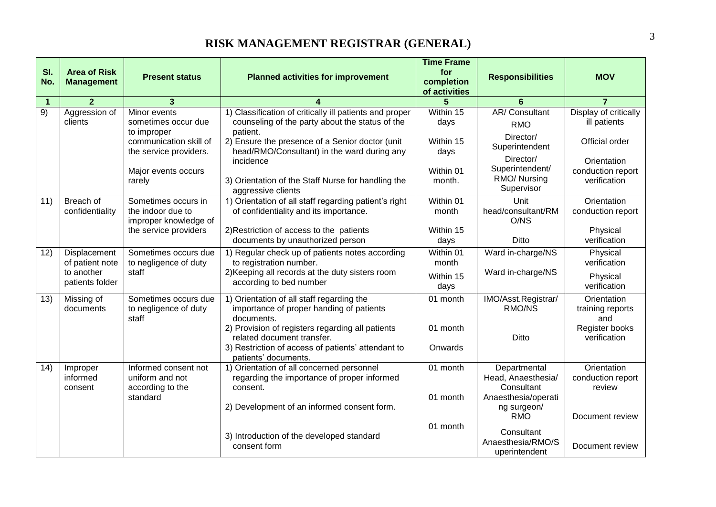| SI.<br>No.           | <b>Area of Risk</b><br><b>Management</b> | <b>Present status</b>  | <b>Planned activities for improvement</b>                                                                  | <b>Time Frame</b><br>for<br>completion | <b>Responsibilities</b>            | <b>MOV</b>                            |
|----------------------|------------------------------------------|------------------------|------------------------------------------------------------------------------------------------------------|----------------------------------------|------------------------------------|---------------------------------------|
|                      |                                          |                        |                                                                                                            | of activities                          |                                    |                                       |
| $\overline{1}$<br>9) | $\overline{2}$<br>Aggression of          | 3<br>Minor events      |                                                                                                            | 5<br>Within 15                         | 6<br>AR/Consultant                 | $\overline{7}$                        |
|                      | clients                                  | sometimes occur due    | 1) Classification of critically ill patients and proper<br>counseling of the party about the status of the | days                                   |                                    | Display of critically<br>ill patients |
|                      |                                          | to improper            | patient.                                                                                                   |                                        | <b>RMO</b>                         |                                       |
|                      |                                          | communication skill of | 2) Ensure the presence of a Senior doctor (unit                                                            | Within 15                              | Director/                          | Official order                        |
|                      |                                          | the service providers. | head/RMO/Consultant) in the ward during any                                                                | days                                   | Superintendent                     |                                       |
|                      |                                          |                        | incidence                                                                                                  |                                        | Director/                          | Orientation                           |
|                      |                                          | Major events occurs    |                                                                                                            | Within 01                              | Superintendent/<br>RMO/ Nursing    | conduction report                     |
|                      |                                          | rarely                 | 3) Orientation of the Staff Nurse for handling the                                                         | month.                                 | Supervisor                         | verification                          |
| 11)                  | Breach of                                | Sometimes occurs in    | aggressive clients<br>1) Orientation of all staff regarding patient's right                                | Within 01                              | Unit                               | Orientation                           |
|                      | confidentiality                          | the indoor due to      | of confidentiality and its importance.                                                                     | month                                  | head/consultant/RM                 | conduction report                     |
|                      |                                          | improper knowledge of  |                                                                                                            |                                        | O/NS                               |                                       |
|                      |                                          | the service providers  | 2) Restriction of access to the patients                                                                   | Within 15                              |                                    | Physical                              |
|                      |                                          |                        | documents by unauthorized person                                                                           | days                                   | Ditto                              | verification                          |
| 12)                  | Displacement                             | Sometimes occurs due   | 1) Regular check up of patients notes according                                                            | $\overline{\text{Within}}$ 01          | Ward in-charge/NS                  | Physical                              |
|                      | of patient note                          | to negligence of duty  | to registration number.                                                                                    | month                                  |                                    | verification                          |
|                      | to another                               | staff                  | 2) Keeping all records at the duty sisters room                                                            | Within 15                              | Ward in-charge/NS                  | Physical                              |
|                      | patients folder                          |                        | according to bed number                                                                                    | days                                   |                                    | verification                          |
| 13)                  | Missing of                               | Sometimes occurs due   | 1) Orientation of all staff regarding the                                                                  | 01 month                               | IMO/Asst.Registrar/                | Orientation                           |
|                      | documents                                | to negligence of duty  | importance of proper handing of patients                                                                   |                                        | RMO/NS                             | training reports                      |
|                      |                                          | staff                  | documents.                                                                                                 |                                        |                                    | and                                   |
|                      |                                          |                        | 2) Provision of registers regarding all patients<br>related document transfer.                             | 01 month                               | Ditto                              | Register books<br>verification        |
|                      |                                          |                        | 3) Restriction of access of patients' attendant to                                                         | Onwards                                |                                    |                                       |
|                      |                                          |                        | patients' documents.                                                                                       |                                        |                                    |                                       |
| 14)                  | Improper                                 | Informed consent not   | 1) Orientation of all concerned personnel                                                                  | 01 month                               | Departmental                       | Orientation                           |
|                      | informed                                 | uniform and not        | regarding the importance of proper informed                                                                |                                        | Head, Anaesthesia/                 | conduction report                     |
|                      | consent                                  | according to the       | consent.                                                                                                   |                                        | Consultant                         | review                                |
|                      |                                          | standard               | 2) Development of an informed consent form.                                                                | 01 month                               | Anaesthesia/operati<br>ng surgeon/ |                                       |
|                      |                                          |                        |                                                                                                            |                                        | <b>RMO</b>                         | Document review                       |
|                      |                                          |                        |                                                                                                            | 01 month                               |                                    |                                       |
|                      |                                          |                        | 3) Introduction of the developed standard                                                                  |                                        | Consultant<br>Anaesthesia/RMO/S    |                                       |
|                      |                                          |                        | consent form                                                                                               |                                        | uperintendent                      | Document review                       |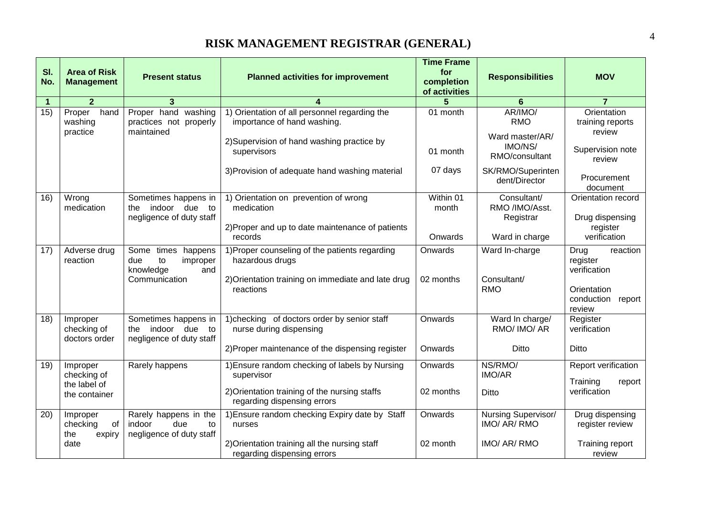| SI.<br>No. | <b>Area of Risk</b><br><b>Management</b>                 | <b>Present status</b>                                                            | <b>Planned activities for improvement</b>                                                                                                    | <b>Time Frame</b><br>for<br>completion<br>of activities | <b>Responsibilities</b>                                      | <b>MOV</b>                                                                                 |
|------------|----------------------------------------------------------|----------------------------------------------------------------------------------|----------------------------------------------------------------------------------------------------------------------------------------------|---------------------------------------------------------|--------------------------------------------------------------|--------------------------------------------------------------------------------------------|
| 1          | $\overline{2}$                                           | 3                                                                                |                                                                                                                                              | 5                                                       | 6                                                            | $\overline{7}$                                                                             |
| 15)        | hand<br>Proper<br>washing<br>practice                    | Proper hand washing<br>practices not properly<br>maintained                      | 1) Orientation of all personnel regarding the<br>importance of hand washing.<br>2) Supervision of hand washing practice by                   | 01 month                                                | AR/IMO/<br><b>RMO</b><br>Ward master/AR/                     | Orientation<br>training reports<br>review                                                  |
|            |                                                          |                                                                                  | supervisors                                                                                                                                  | 01 month                                                | IMO/NS/<br>RMO/consultant                                    | Supervision note<br>review                                                                 |
|            |                                                          |                                                                                  | 3) Provision of adequate hand washing material                                                                                               | 07 days                                                 | SK/RMO/Superinten<br>dent/Director                           | Procurement<br>document                                                                    |
| 16)        | Wrong<br>medication                                      | Sometimes happens in<br>indoor due<br>to<br>the<br>negligence of duty staff      | 1) Orientation on prevention of wrong<br>medication<br>2) Proper and up to date maintenance of patients<br>records                           | Within 01<br>month<br>Onwards                           | Consultant/<br>RMO /IMO/Asst.<br>Registrar<br>Ward in charge | Orientation record<br>Drug dispensing<br>register<br>verification                          |
| 17)        | Adverse drug<br>reaction                                 | Some times happens<br>to<br>due<br>improper<br>knowledge<br>and<br>Communication | 1) Proper counseling of the patients regarding<br>hazardous drugs<br>2) Orientation training on immediate and late drug<br>reactions         | Onwards<br>02 months                                    | Ward In-charge<br>Consultant/<br><b>RMO</b>                  | Drug<br>reaction<br>register<br>verification<br>Orientation<br>conduction report<br>review |
| 18)        | Improper<br>checking of<br>doctors order                 | Sometimes happens in<br>the indoor due to<br>negligence of duty staff            | 1) checking of doctors order by senior staff<br>nurse during dispensing<br>2) Proper maintenance of the dispensing register                  | Onwards<br>Onwards                                      | Ward In charge/<br>RMO/ IMO/ AR<br>Ditto                     | Register<br>verification<br>Ditto                                                          |
| 19)        | Improper<br>checking of<br>the label of<br>the container | Rarely happens                                                                   | 1) Ensure random checking of labels by Nursing<br>supervisor<br>2) Orientation training of the nursing staffs<br>regarding dispensing errors | Onwards<br>02 months                                    | NS/RMO/<br><b>IMO/AR</b><br><b>Ditto</b>                     | Report verification<br>Training<br>report<br>verification                                  |
| 20)        | Improper<br>checking<br>of<br>the<br>expiry<br>date      | Rarely happens in the<br>due<br>indoor<br>to<br>negligence of duty staff         | 1) Ensure random checking Expiry date by Staff<br>nurses<br>2) Orientation training all the nursing staff<br>regarding dispensing errors     | Onwards<br>02 month                                     | Nursing Supervisor/<br>IMO/ AR/ RMO<br>IMO/ AR/ RMO          | Drug dispensing<br>register review<br>Training report<br>review                            |